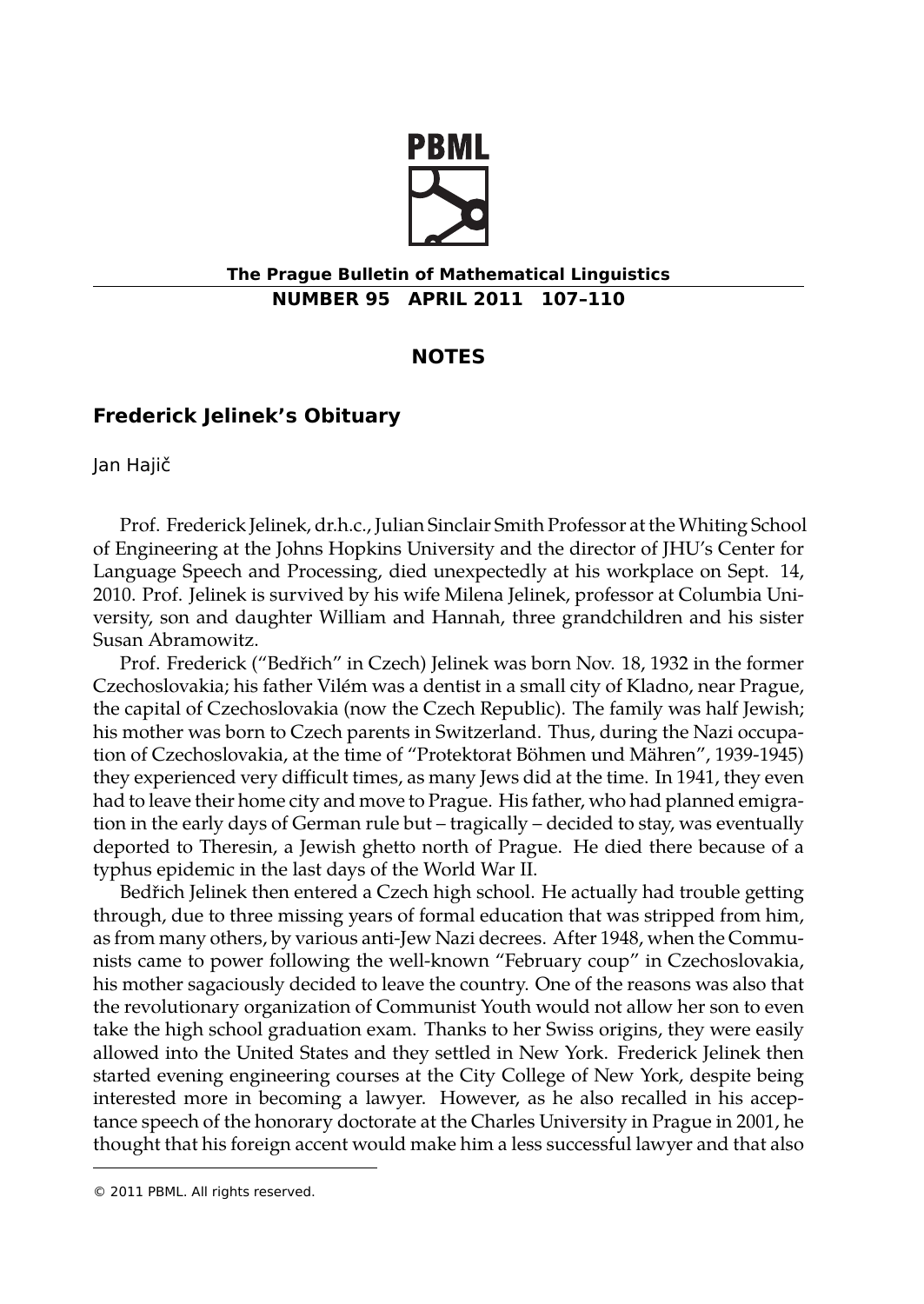

## **The Prague Bulletin of Mathematical Linguistics NUMBER 95 APRIL 2011 107–110**

## **NOTES**

## **Frederick Jelinek's Obituary**

Jan Hajič

Prof. Frederick Jelinek, dr.h.c., Julian Sinclair Smith Professor at the Whiting School of Engineering at the Johns Hopkins University and the director of JHU's Center for Language Speech and Processing, died unexpectedly at his workplace on Sept. 14, 2010. Prof. Jelinek is survived by his wife Milena Jelinek, professor at Columbia University, son and daughter William and Hannah, three grandchildren and his sister Susan Abramowitz.

Prof. Frederick ("Bedřich" in Czech) Jelinek was born Nov. 18, 1932 in the former Czechoslovakia; his father Vilém was a dentist in a small city of Kladno, near Prague, the capital of Czechoslovakia (now the Czech Republic). The family was half Jewish; his mother was born to Czech parents in Switzerland. Thus, during the Nazi occupation of Czechoslovakia, at the time of "Protektorat Böhmen und Mähren", 1939-1945) they experienced very difficult times, as many Jews did at the time. In 1941, they even had to leave their home city and move to Prague. His father, who had planned emigration in the early days of German rule but – tragically – decided to stay, was eventually deported to Theresin, a Jewish ghetto north of Prague. He died there because of a typhus epidemic in the last days of the World War II.

Bedřich Jelinek then entered a Czech high school. He actually had trouble getting through, due to three missing years of formal education that was stripped from him, as from many others, by various anti-Jew Nazi decrees. After 1948, when the Communists came to power following the well-known "February coup" in Czechoslovakia, his mother sagaciously decided to leave the country. One of the reasons was also that the revolutionary organization of Communist Youth would not allow her son to even take the high school graduation exam. Thanks to her Swiss origins, they were easily allowed into the United States and they settled in New York. Frederick Jelinek then started evening engineering courses at the City College of New York, despite being interested more in becoming a lawyer. However, as he also recalled in his acceptance speech of the honorary doctorate at the Charles University in Prague in 2001, he thought that his foreign accent would make him a less successful lawyer and that also

<sup>© 2011</sup> PBML. All rights reserved.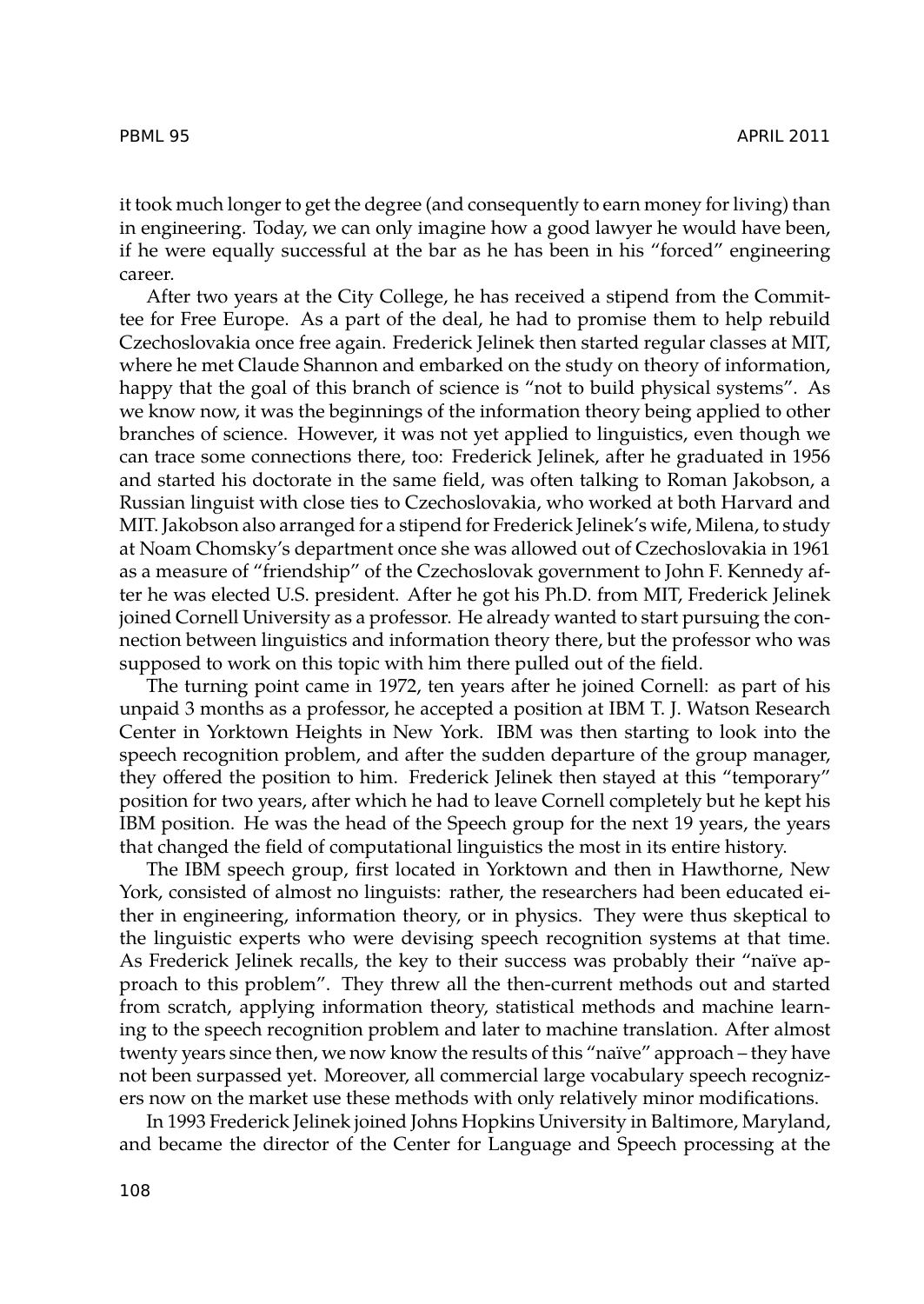it took much longer to get the degree (and consequently to earn money for living) than in engineering. Today, we can only imagine how a good lawyer he would have been, if he were equally successful at the bar as he has been in his "forced" engineering career.

After two years at the City College, he has received a stipend from the Committee for Free Europe. As a part of the deal, he had to promise them to help rebuild Czechoslovakia once free again. Frederick Jelinek then started regular classes at MIT, where he met Claude Shannon and embarked on the study on theory of information, happy that the goal of this branch of science is "not to build physical systems". As we know now, it was the beginnings of the information theory being applied to other branches of science. However, it was not yet applied to linguistics, even though we can trace some connections there, too: Frederick Jelinek, after he graduated in 1956 and started his doctorate in the same field, was often talking to Roman Jakobson, a Russian linguist with close ties to Czechoslovakia, who worked at both Harvard and MIT. Jakobson also arranged for a stipend for Frederick Jelinek's wife, Milena, to study at Noam Chomsky's department once she was allowed out of Czechoslovakia in 1961 as a measure of "friendship" of the Czechoslovak government to John F. Kennedy after he was elected U.S. president. After he got his Ph.D. from MIT, Frederick Jelinek joined Cornell University as a professor. He already wanted to start pursuing the connection between linguistics and information theory there, but the professor who was supposed to work on this topic with him there pulled out of the field.

The turning point came in 1972, ten years after he joined Cornell: as part of his unpaid 3 months as a professor, he accepted a position at IBM T. J. Watson Research Center in Yorktown Heights in New York. IBM was then starting to look into the speech recognition problem, and after the sudden departure of the group manager, they offered the position to him. Frederick Jelinek then stayed at this "temporary" position for two years, after which he had to leave Cornell completely but he kept his IBM position. He was the head of the Speech group for the next 19 years, the years that changed the field of computational linguistics the most in its entire history.

The IBM speech group, first located in Yorktown and then in Hawthorne, New York, consisted of almost no linguists: rather, the researchers had been educated either in engineering, information theory, or in physics. They were thus skeptical to the linguistic experts who were devising speech recognition systems at that time. As Frederick Jelinek recalls, the key to their success was probably their "naïve approach to this problem". They threw all the then-current methods out and started from scratch, applying information theory, statistical methods and machine learning to the speech recognition problem and later to machine translation. After almost twenty years since then, we now know the results of this "naïve" approach – they have not been surpassed yet. Moreover, all commercial large vocabulary speech recognizers now on the market use these methods with only relatively minor modifications.

In 1993 Frederick Jelinek joined Johns Hopkins University in Baltimore, Maryland, and became the director of the Center for Language and Speech processing at the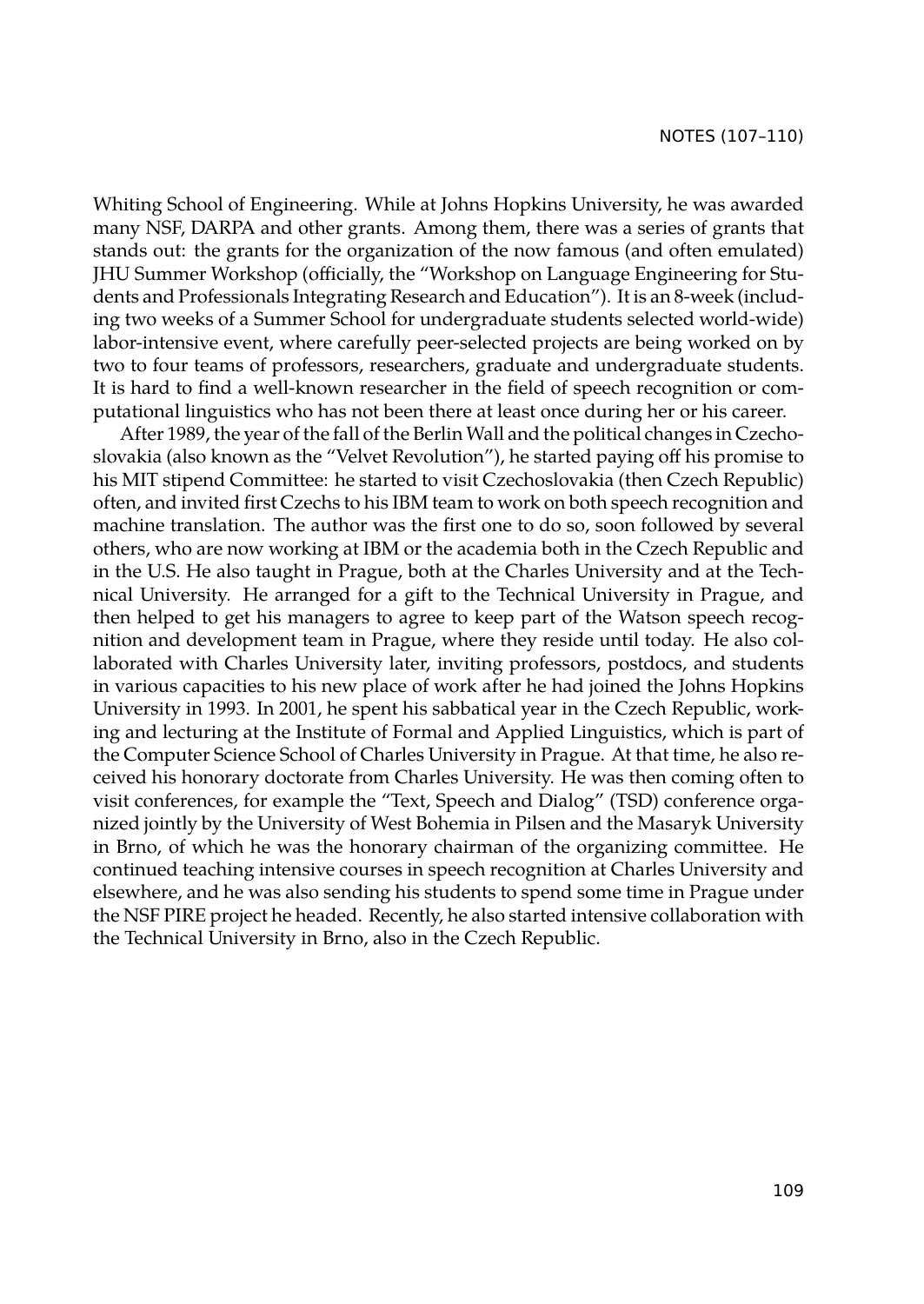Whiting School of Engineering. While at Johns Hopkins University, he was awarded many NSF, DARPA and other grants. Among them, there was a series of grants that stands out: the grants for the organization of the now famous (and often emulated) JHU Summer Workshop (officially, the "Workshop on Language Engineering for Students and Professionals Integrating Research and Education"). It is an 8-week (including two weeks of a Summer School for undergraduate students selected world-wide) labor-intensive event, where carefully peer-selected projects are being worked on by two to four teams of professors, researchers, graduate and undergraduate students. It is hard to find a well-known researcher in the field of speech recognition or computational linguistics who has not been there at least once during her or his career.

After 1989, the year of the fall of the Berlin Wall and the political changes in Czechoslovakia (also known as the "Velvet Revolution"), he started paying off his promise to his MIT stipend Committee: he started to visit Czechoslovakia (then Czech Republic) often, and invited first Czechs to his IBM team to work on both speech recognition and machine translation. The author was the first one to do so, soon followed by several others, who are now working at IBM or the academia both in the Czech Republic and in the U.S. He also taught in Prague, both at the Charles University and at the Technical University. He arranged for a gift to the Technical University in Prague, and then helped to get his managers to agree to keep part of the Watson speech recognition and development team in Prague, where they reside until today. He also collaborated with Charles University later, inviting professors, postdocs, and students in various capacities to his new place of work after he had joined the Johns Hopkins University in 1993. In 2001, he spent his sabbatical year in the Czech Republic, working and lecturing at the Institute of Formal and Applied Linguistics, which is part of the Computer Science School of Charles University in Prague. At that time, he also received his honorary doctorate from Charles University. He was then coming often to visit conferences, for example the "Text, Speech and Dialog" (TSD) conference organized jointly by the University of West Bohemia in Pilsen and the Masaryk University in Brno, of which he was the honorary chairman of the organizing committee. He continued teaching intensive courses in speech recognition at Charles University and elsewhere, and he was also sending his students to spend some time in Prague under the NSF PIRE project he headed. Recently, he also started intensive collaboration with the Technical University in Brno, also in the Czech Republic.